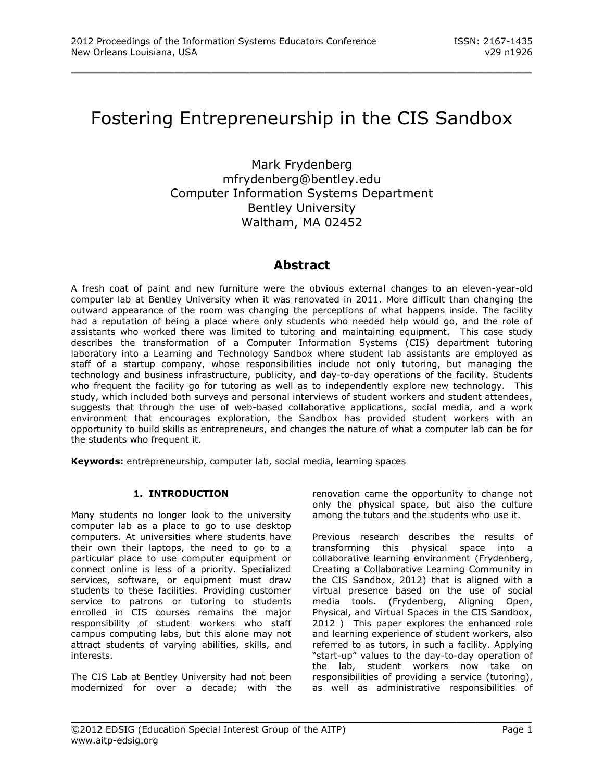# Fostering Entrepreneurship in the CIS Sandbox

\_\_\_\_\_\_\_\_\_\_\_\_\_\_\_\_\_\_\_\_\_\_\_\_\_\_\_\_\_\_\_\_\_\_\_\_\_\_\_\_\_\_\_\_\_\_\_\_\_

Mark Frydenberg mfrydenberg@bentley.edu Computer Information Systems Department Bentley University Waltham, MA 02452

# **Abstract**

A fresh coat of paint and new furniture were the obvious external changes to an eleven-year-old computer lab at Bentley University when it was renovated in 2011. More difficult than changing the outward appearance of the room was changing the perceptions of what happens inside. The facility had a reputation of being a place where only students who needed help would go, and the role of assistants who worked there was limited to tutoring and maintaining equipment. This case study describes the transformation of a Computer Information Systems (CIS) department tutoring laboratory into a Learning and Technology Sandbox where student lab assistants are employed as staff of a startup company, whose responsibilities include not only tutoring, but managing the technology and business infrastructure, publicity, and day-to-day operations of the facility. Students who frequent the facility go for tutoring as well as to independently explore new technology. This study, which included both surveys and personal interviews of student workers and student attendees, suggests that through the use of web-based collaborative applications, social media, and a work environment that encourages exploration, the Sandbox has provided student workers with an opportunity to build skills as entrepreneurs, and changes the nature of what a computer lab can be for the students who frequent it.

\_\_\_\_\_\_\_\_\_\_\_\_\_\_\_\_\_\_\_\_\_\_\_\_\_\_\_\_\_\_\_\_\_\_\_\_\_\_\_\_\_\_\_\_\_\_\_\_\_

**Keywords:** entrepreneurship, computer lab, social media, learning spaces

## **1. INTRODUCTION**

Many students no longer look to the university computer lab as a place to go to use desktop computers. At universities where students have their own their laptops, the need to go to a particular place to use computer equipment or connect online is less of a priority. Specialized services, software, or equipment must draw students to these facilities. Providing customer service to patrons or tutoring to students enrolled in CIS courses remains the major responsibility of student workers who staff campus computing labs, but this alone may not attract students of varying abilities, skills, and interests.

The CIS Lab at Bentley University had not been modernized for over a decade; with the renovation came the opportunity to change not only the physical space, but also the culture among the tutors and the students who use it.

Previous research describes the results of transforming this physical space into a collaborative learning environment (Frydenberg, Creating a Collaborative Learning Community in the CIS Sandbox, 2012) that is aligned with a virtual presence based on the use of social media tools. (Frydenberg, Aligning Open, Physical, and Virtual Spaces in the CIS Sandbox, 2012 ) This paper explores the enhanced role and learning experience of student workers, also referred to as tutors, in such a facility. Applying "start-up" values to the day-to-day operation of the lab, student workers now take on responsibilities of providing a service (tutoring), as well as administrative responsibilities of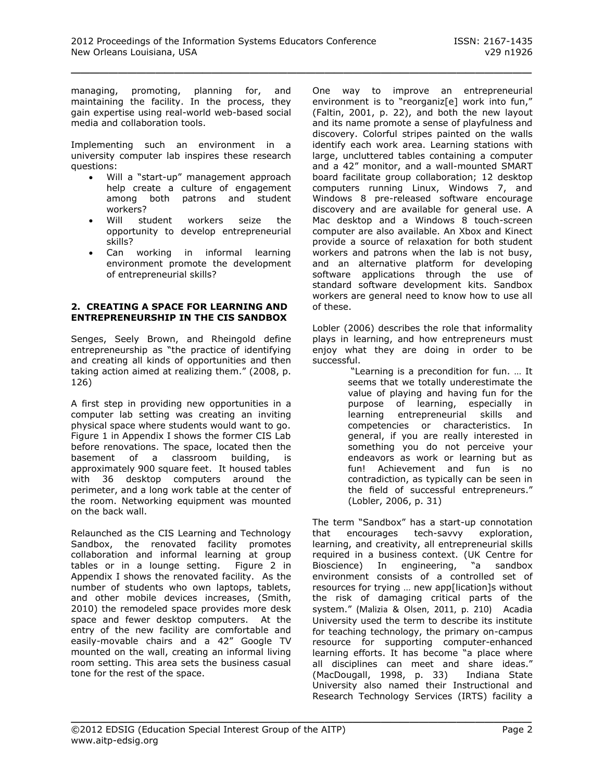managing, promoting, planning for, and maintaining the facility. In the process, they gain expertise using real-world web-based social media and collaboration tools.

Implementing such an environment in a university computer lab inspires these research questions:

- Will a "start-up" management approach help create a culture of engagement among both patrons and student workers?
- Will student workers seize the opportunity to develop entrepreneurial skills?
- Can working in informal learning environment promote the development of entrepreneurial skills?

#### **2. CREATING A SPACE FOR LEARNING AND ENTREPRENEURSHIP IN THE CIS SANDBOX**

Senges, Seely Brown, and Rheingold define entrepreneurship as "the practice of identifying and creating all kinds of opportunities and then taking action aimed at realizing them." (2008, p. 126)

A first step in providing new opportunities in a computer lab setting was creating an inviting physical space where students would want to go. Figure 1 in Appendix I shows the former CIS Lab before renovations. The space, located then the basement of a classroom building, is approximately 900 square feet. It housed tables with 36 desktop computers around the perimeter, and a long work table at the center of the room. Networking equipment was mounted on the back wall.

Relaunched as the CIS Learning and Technology Sandbox, the renovated facility promotes collaboration and informal learning at group tables or in a lounge setting. Figure 2 in Appendix I shows the renovated facility. As the number of students who own laptops, tablets, and other mobile devices increases, (Smith, 2010) the remodeled space provides more desk space and fewer desktop computers. At the entry of the new facility are comfortable and easily-movable chairs and a 42" Google TV mounted on the wall, creating an informal living room setting. This area sets the business casual tone for the rest of the space.

One way to improve an entrepreneurial environment is to "reorganiz[e] work into fun," (Faltin, 2001, p. 22), and both the new layout and its name promote a sense of playfulness and discovery. Colorful stripes painted on the walls identify each work area. Learning stations with large, uncluttered tables containing a computer and a 42" monitor, and a wall-mounted SMART board facilitate group collaboration; 12 desktop computers running Linux, Windows 7, and Windows 8 pre-released software encourage discovery and are available for general use. A Mac desktop and a Windows 8 touch-screen computer are also available. An Xbox and Kinect provide a source of relaxation for both student workers and patrons when the lab is not busy, and an alternative platform for developing software applications through the use of standard software development kits. Sandbox workers are general need to know how to use all of these.

Lobler (2006) describes the role that informality plays in learning, and how entrepreneurs must enjoy what they are doing in order to be successful.

"Learning is a precondition for fun. … It seems that we totally underestimate the value of playing and having fun for the purpose of learning, especially in learning entrepreneurial skills and competencies or characteristics. In general, if you are really interested in something you do not perceive your endeavors as work or learning but as fun! Achievement and fun is no contradiction, as typically can be seen in the field of successful entrepreneurs." (Lobler, 2006, p. 31)

The term "Sandbox" has a start-up connotation that encourages tech-savvy exploration, learning, and creativity, all entrepreneurial skills required in a business context. (UK Centre for Bioscience) In engineering, "a sandbox environment consists of a controlled set of resources for trying … new app[lication]s without the risk of damaging critical parts of the system." (Malizia & Olsen, 2011, p. 210) Acadia University used the term to describe its institute for teaching technology, the primary on-campus resource for supporting computer-enhanced learning efforts. It has become "a place where all disciplines can meet and share ideas." (MacDougall, 1998, p. 33) Indiana State University also named their Instructional and Research Technology Services (IRTS) facility a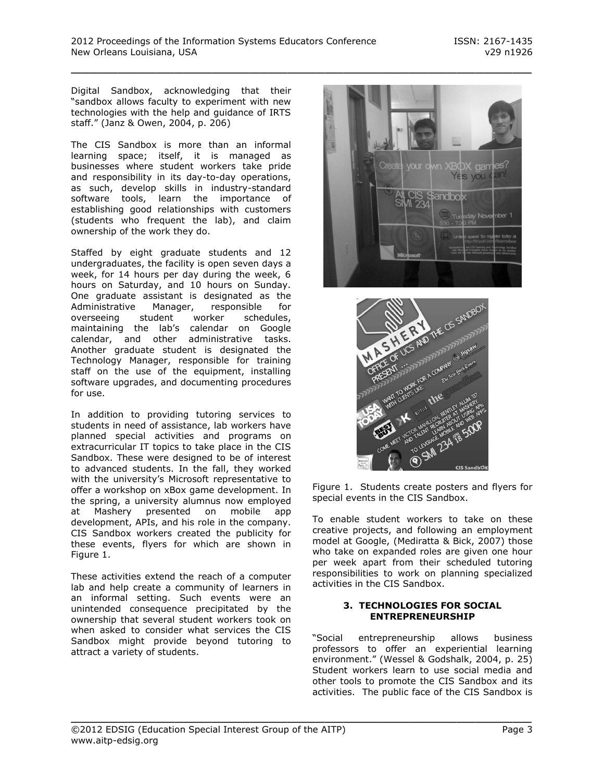Digital Sandbox, acknowledging that their "sandbox allows faculty to experiment with new technologies with the help and guidance of IRTS staff." (Janz & Owen, 2004, p. 206)

The CIS Sandbox is more than an informal learning space; itself, it is managed as businesses where student workers take pride and responsibility in its day-to-day operations, as such, develop skills in industry-standard software tools, learn the importance of establishing good relationships with customers (students who frequent the lab), and claim ownership of the work they do.

Staffed by eight graduate students and 12 undergraduates, the facility is open seven days a week, for 14 hours per day during the week, 6 hours on Saturday, and 10 hours on Sunday. One graduate assistant is designated as the Administrative Manager, responsible for overseeing student worker schedules, maintaining the lab's calendar on Google calendar, and other administrative tasks. Another graduate student is designated the Technology Manager, responsible for training staff on the use of the equipment, installing software upgrades, and documenting procedures for use.

In addition to providing tutoring services to students in need of assistance, lab workers have planned special activities and programs on extracurricular IT topics to take place in the CIS Sandbox. These were designed to be of interest to advanced students. In the fall, they worked with the university's Microsoft representative to offer a workshop on xBox game development. In the spring, a university alumnus now employed at Mashery presented on mobile app development, APIs, and his role in the company. CIS Sandbox workers created the publicity for these events, flyers for which are shown in Figure 1.

These activities extend the reach of a computer lab and help create a community of learners in an informal setting. Such events were an unintended consequence precipitated by the ownership that several student workers took on when asked to consider what services the CIS Sandbox might provide beyond tutoring to attract a variety of students.





Figure 1. Students create posters and flyers for special events in the CIS Sandbox.

To enable student workers to take on these creative projects, and following an employment model at Google, (Mediratta & Bick, 2007) those who take on expanded roles are given one hour per week apart from their scheduled tutoring responsibilities to work on planning specialized activities in the CIS Sandbox.

#### **3. TECHNOLOGIES FOR SOCIAL ENTREPRENEURSHIP**

"Social entrepreneurship allows business professors to offer an experiential learning environment." (Wessel & Godshalk, 2004, p. 25) Student workers learn to use social media and other tools to promote the CIS Sandbox and its activities. The public face of the CIS Sandbox is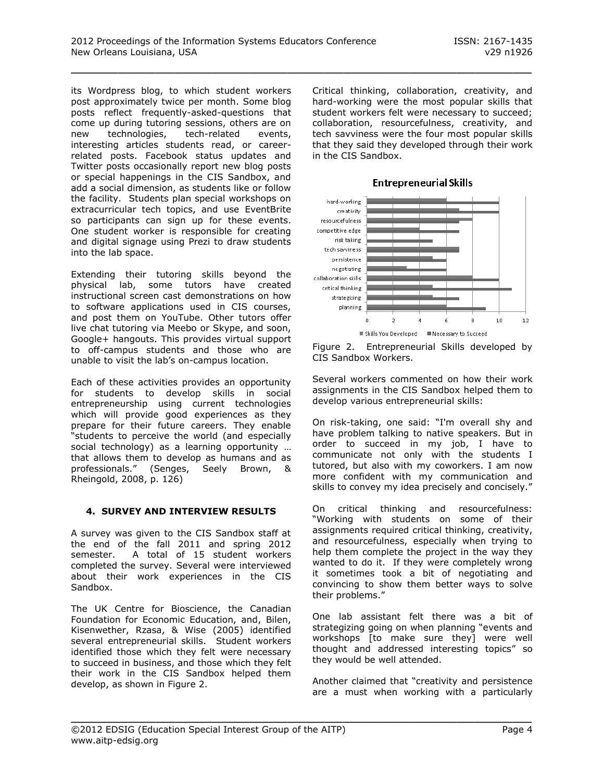its Wordpress blog, to which student workers post approximately twice per month. Some blog posts reflect frequently-asked-questions that come up during tutoring sessions, others are on new technologies, tech-related events, interesting articles students read, or careerrelated posts. Facebook status updates and Twitter posts occasionally report new blog posts or special happenings in the CIS Sandbox, and add a social dimension, as students like or follow the facility. Students plan special workshops on extracurricular tech topics, and use EventBrite so participants can sign up for these events. One student worker is responsible for creating and digital signage using Prezi to draw students into the lab space.

Extending their tutoring skills beyond the physical lab, some tutors have created instructional screen cast demonstrations on how to software applications used in CIS courses, and post them on YouTube. Other tutors offer live chat tutoring via Meebo or Skype, and soon, Google+ hangouts. This provides virtual support to off-campus students and those who are unable to visit the lab's on-campus location.

Each of these activities provides an opportunity for students to develop skills in social entrepreneurship using current technologies which will provide good experiences as they prepare for their future careers. They enable "students to perceive the world (and especially social technology) as a learning opportunity ... that allows them to develop as humans and as professionals." (Senges, Seely Brown, & Rheingold, 2008, p. 126)

#### **4. SURVEY AND INTERVIEW RESULTS**

A survey was given to the CIS Sandbox staff at the end of the fall 2011 and spring 2012 semester. A total of 15 student workers completed the survey. Several were interviewed about their work experiences in the CIS Sandbox.

The UK Centre for Bioscience, the Canadian Foundation for Economic Education, and, Bilen, Kisenwether, Rzasa, & Wise (2005) identified several entrepreneurial skills. Student workers identified those which they felt were necessary to succeed in business, and those which they felt their work in the CIS Sandbox helped them develop, as shown in Figure 2.

Critical thinking, collaboration, creativity, and hard-working were the most popular skills that student workers felt were necessary to succeed; collaboration, resourcefulness, creativity, and tech savviness were the four most popular skills that they said they developed through their work in the CIS Sandbox.



**Entrepreneurial Skills** 

Several workers commented on how their work assignments in the CIS Sandbox helped them to develop various entrepreneurial skills:

On risk-taking, one said: "I'm overall shy and have problem talking to native speakers. But in order to succeed in my job, I have to communicate not only with the students I tutored, but also with my coworkers. I am now more confident with my communication and skills to convey my idea precisely and concisely."

On critical thinking and resourcefulness: "Working with students on some of their assignments required critical thinking, creativity, and resourcefulness, especially when trying to help them complete the project in the way they wanted to do it. If they were completely wrong it sometimes took a bit of negotiating and convincing to show them better ways to solve their problems."

One lab assistant felt there was a bit of strategizing going on when planning "events and workshops [to make sure they] were well thought and addressed interesting topics" so they would be well attended.

Another claimed that "creativity and persistence are a must when working with a particularly

Figure 2. Entrepreneurial Skills developed by CIS Sandbox Workers.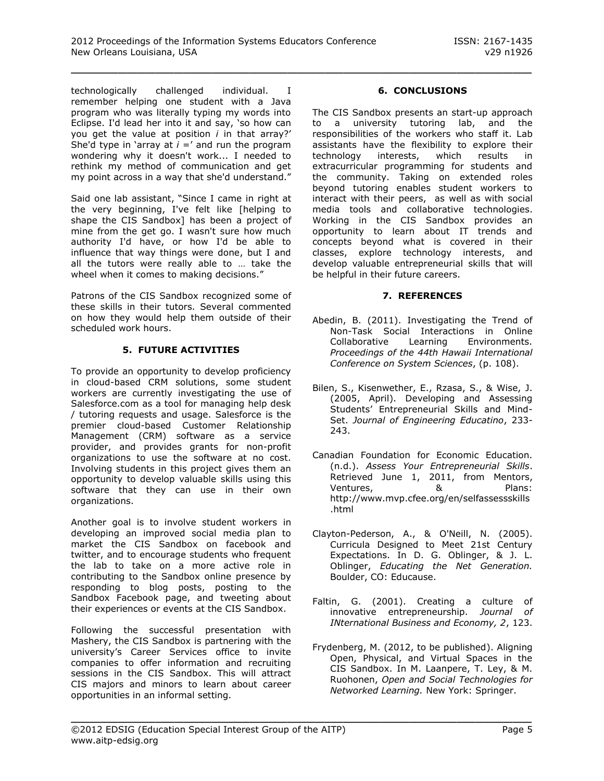technologically challenged individual. I remember helping one student with a Java program who was literally typing my words into Eclipse. I'd lead her into it and say, 'so how can you get the value at position *i* in that array?' She'd type in 'array at  $i = 1$  and run the program wondering why it doesn't work... I needed to rethink my method of communication and get my point across in a way that she'd understand."

Said one lab assistant, "Since I came in right at the very beginning, I've felt like [helping to shape the CIS Sandbox] has been a project of mine from the get go. I wasn't sure how much authority I'd have, or how I'd be able to influence that way things were done, but I and all the tutors were really able to … take the wheel when it comes to making decisions."

Patrons of the CIS Sandbox recognized some of these skills in their tutors. Several commented on how they would help them outside of their scheduled work hours.

## **5. FUTURE ACTIVITIES**

To provide an opportunity to develop proficiency in cloud-based CRM solutions, some student workers are currently investigating the use of Salesforce.com as a tool for managing help desk / tutoring requests and usage. Salesforce is the premier cloud-based Customer Relationship Management (CRM) software as a service provider, and provides grants for non-profit organizations to use the software at no cost. Involving students in this project gives them an opportunity to develop valuable skills using this software that they can use in their own organizations.

Another goal is to involve student workers in developing an improved social media plan to market the CIS Sandbox on facebook and twitter, and to encourage students who frequent the lab to take on a more active role in contributing to the Sandbox online presence by responding to blog posts, posting to the Sandbox Facebook page, and tweeting about their experiences or events at the CIS Sandbox.

Following the successful presentation with Mashery, the CIS Sandbox is partnering with the university's Career Services office to invite companies to offer information and recruiting sessions in the CIS Sandbox. This will attract CIS majors and minors to learn about career opportunities in an informal setting.

#### **6. CONCLUSIONS**

The CIS Sandbox presents an start-up approach to a university tutoring lab, and the responsibilities of the workers who staff it. Lab assistants have the flexibility to explore their technology interests, which results in extracurricular programming for students and the community. Taking on extended roles beyond tutoring enables student workers to interact with their peers, as well as with social media tools and collaborative technologies. Working in the CIS Sandbox provides an opportunity to learn about IT trends and concepts beyond what is covered in their classes, explore technology interests, and develop valuable entrepreneurial skills that will be helpful in their future careers.

#### **7. REFERENCES**

- Abedin, B. (2011). Investigating the Trend of Non-Task Social Interactions in Online Collaborative Learning Environments. *Proceedings of the 44th Hawaii International Conference on System Sciences*, (p. 108).
- Bilen, S., Kisenwether, E., Rzasa, S., & Wise, J. (2005, April). Developing and Assessing Students' Entrepreneurial Skills and Mind-Set. *Journal of Engineering Educatino*, 233- 243.
- Canadian Foundation for Economic Education. (n.d.). *Assess Your Entrepreneurial Skills*. Retrieved June 1, 2011, from Mentors, Ventures, & Plans: http://www.mvp.cfee.org/en/selfassessskills .html
- Clayton-Pederson, A., & O'Neill, N. (2005). Curricula Designed to Meet 21st Century Expectations. In D. G. Oblinger, & J. L. Oblinger, *Educating the Net Generation.* Boulder, CO: Educause.
- Faltin, G. (2001). Creating a culture of innovative entrepreneurship. *Journal of INternational Business and Economy, 2*, 123.
- Frydenberg, M. (2012, to be published). Aligning Open, Physical, and Virtual Spaces in the CIS Sandbox. In M. Laanpere, T. Ley, & M. Ruohonen, *Open and Social Technologies for Networked Learning.* New York: Springer.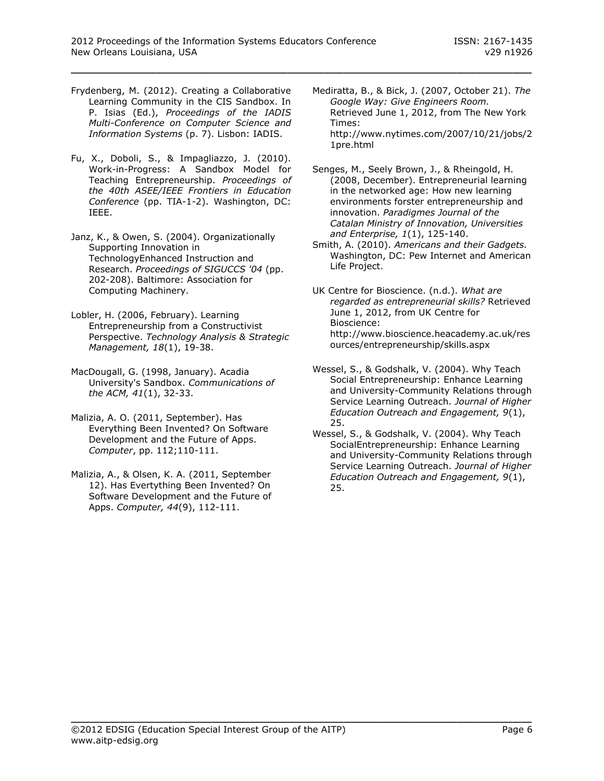- Frydenberg, M. (2012). Creating a Collaborative Learning Community in the CIS Sandbox. In P. Isias (Ed.), *Proceedings of the IADIS Multi-Conference on Computer Science and Information Systems* (p. 7). Lisbon: IADIS.
- Fu, X., Doboli, S., & Impagliazzo, J. (2010). Work-in-Progress: A Sandbox Model for Teaching Entrepreneurship. *Proceedings of the 40th ASEE/IEEE Frontiers in Education Conference* (pp. TIA-1-2). Washington, DC: IEEE.
- Janz, K., & Owen, S. (2004). Organizationally Supporting Innovation in TechnologyEnhanced Instruction and Research. *Proceedings of SIGUCCS '04* (pp. 202-208). Baltimore: Association for Computing Machinery.
- Lobler, H. (2006, February). Learning Entrepreneurship from a Constructivist Perspective. *Technology Analysis & Strategic Management, 18*(1), 19-38.
- MacDougall, G. (1998, January). Acadia University's Sandbox. *Communications of the ACM, 41*(1), 32-33.
- Malizia, A. O. (2011, September). Has Everything Been Invented? On Software Development and the Future of Apps. *Computer*, pp. 112;110-111.
- Malizia, A., & Olsen, K. A. (2011, September 12). Has Evertything Been Invented? On Software Development and the Future of Apps. *Computer, 44*(9), 112-111.
- Mediratta, B., & Bick, J. (2007, October 21). *The Google Way: Give Engineers Room.* Retrieved June 1, 2012, from The New York Times: http://www.nytimes.com/2007/10/21/jobs/2 1pre.html
- Senges, M., Seely Brown, J., & Rheingold, H. (2008, December). Entrepreneurial learning in the networked age: How new learning environments forster entrepreneurship and innovation. *Paradigmes Journal of the Catalan Ministry of Innovation, Universities and Enterprise, 1*(1), 125-140.
- Smith, A. (2010). *Americans and their Gadgets.* Washington, DC: Pew Internet and American Life Project.
- UK Centre for Bioscience. (n.d.). *What are regarded as entrepreneurial skills?* Retrieved June 1, 2012, from UK Centre for Bioscience: http://www.bioscience.heacademy.ac.uk/res ources/entrepreneurship/skills.aspx
- Wessel, S., & Godshalk, V. (2004). Why Teach Social Entrepreneurship: Enhance Learning and University-Community Relations through Service Learning Outreach. *Journal of Higher Education Outreach and Engagement, 9*(1), 25.
- Wessel, S., & Godshalk, V. (2004). Why Teach SocialEntrepreneurship: Enhance Learning and University-Community Relations through Service Learning Outreach. *Journal of Higher Education Outreach and Engagement, 9*(1), 25.